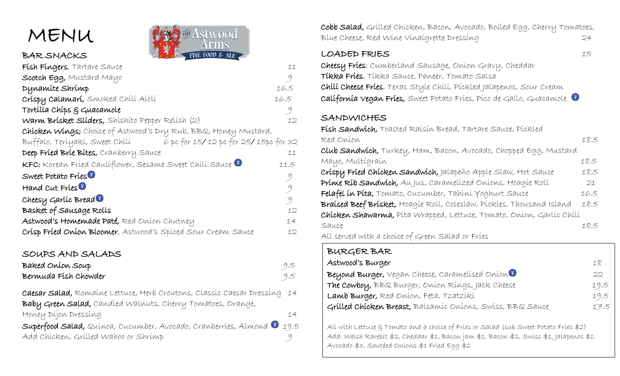

BAR SNACKS



| Fish Fingers, Tartare Sauce                                                         | 11   |
|-------------------------------------------------------------------------------------|------|
| Scotch Egg, Mustard Mayo                                                            | 9    |
| Dynamite Shrimp                                                                     | 16.5 |
| Crispy Calamari, Smoked Chili Aioli                                                 | 16.5 |
| Tortilla Chips & Guacamole                                                          | 9    |
| Warm Brisket Sliders, Shishito Pepper Relish (2)                                    | 12   |
| Chicken Wings; Choice of Astwood's Dry Rub, BBQ, Honey Mustard,                     |      |
| Buffalo, Teríyakí, Sweet Chílí                 6 pc for 15/12 pc for 25/15pc for 32 |      |
| Deep Fried Brie Bites, Cranberry Sauce                                              | 11   |
| KFC: Korean Fried Cauliflower, Sesame Sweet Chili Sauce V                           | 11.5 |
| Sweet Potato Fries                                                                  | 9    |
| Hand Cut Fries <sup>U</sup>                                                         | 9    |
| Cheesy Garlic Bread $\blacksquare$                                                  | 9    |
| Basket of Sausage Rolls                                                             | 12   |
| Astwood's Homemade Paté, Red Onion Chutney                                          | 14   |
| Crisp Fried Onion Bloomer, Astwood's Spiced Sour Cream Sauce                        | 12   |

### SOUPS AND SALADS

| Baked Onion Soup     | 9.5 |
|----------------------|-----|
| Bermuda Fish Chowder | 9.5 |

Caesar Salad, Romaine Lettuce, Herb Croutons, Classic Caesar Dressing 14 Baby Green Salad, Candied Walnuts, Cherry Tomatoes, Orange, Honey Dijon Dressing 14 Superfood Salad, Quinoa, Cucumber, Avocado, Cranberries, Almond 19.5

Add Chicken, Grilled Wahoo or Shrimp 9

Cobb Salad, Grilled Chicken, Bacon, Avocado, Boiled Egg, Cherry Tomatoes, Blue Cheese, Red Wine Vinaigrette Dressing 24

### LOADED FRIES 15

Cheesy Fries; Cumberland Sausage, Onion Gravy, Cheddar Tikka Fries, Tikka Sauce, Paneer, Tomato Salsa Chili Cheese Fries, Texas Style Chili, Pickled Jalapenos, Sour Cream California Vegan Fries, Sweet Potato Fries, Pico de Gallo, Guacamole

# SANDWICHES

 $\overline{\phantom{a}}$  $\overline{\phantom{a}}$  $\overline{\phantom{a}}$  $\overline{\phantom{a}}$  $\overline{\phantom{a}}$  $\overline{\phantom{a}}$ 

 $\overline{\phantom{a}}$ 

Fish Sandwich, Toasted Raisin Bread, Tartare Sauce, Pickled Red Onion 18.5 Club Sandwich, Turkey, Ham, Bacon, Avocado, Chopped Egg, Mustard Mayo, Multigrain 18.5 Crispy Fried Chicken Sandwich, Jalapeño Apple Slaw, Hot Sauce 18.5 Prime Rib Sandwich, Au Jus, Caramelized Onions, Hoagie Roll 21 Felafel in Pita, Tomato, Cucumber, Tahini Yoghurt Sauce 16.5 Braised Beef Brisket, Hoagie Roll, Coleslaw, Pickles, Thousand Island 18.5 Chicken Shawarma, Pita Wrapped, Lettuce, Tomato, Onion, Garlic Chili Sauce 18.5 All served with a choice of Green Salad or Fries

| BURGER BAR                                                |      |
|-----------------------------------------------------------|------|
| Astwood's Burger                                          | 18   |
| Beyond Burger, Vegan Cheese, Caramelised Onion            | 22   |
| The Cowboy, BBQ Burger, Onion Rings, Jack Cheese          | 19.5 |
| Lamb Burger, Red Onion, Feta, Tzatziki                    | 19.5 |
| Grilled Chicken Breast, Balsamic Onions, Swiss, BBQ Sauce | 17.5 |
|                                                           |      |

All with Lettuce & Tomato and a choice of Fries or Salad (sub Sweet Potato Fries \$2) Add: Welsh Rarebit \$2, Cheddar \$1, Bacon jam \$1, Bacon \$2, Swiss \$1, Jalapenos \$1, Avocado \$3, Sautéed Onions \$1 Fried Egg \$2